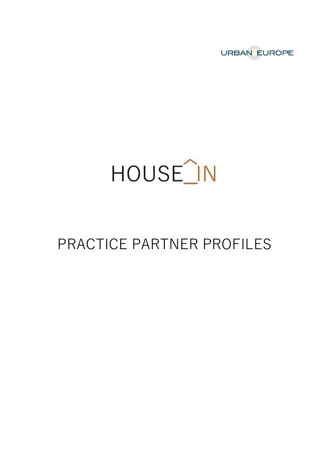

# HOUSE<sup>1</sup>N

# PRACTICE PARTNER PROFILES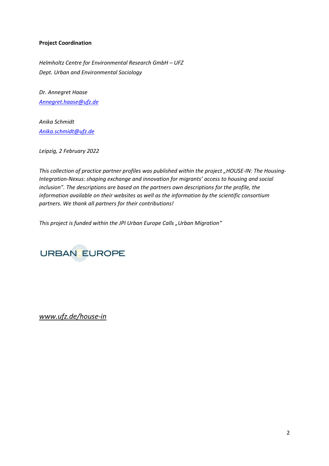#### **Project Coordination**

*Helmholtz Centre for Environmental Research GmbH – UFZ Dept. Urban and Environmental Sociology*

*Dr. Annegret Haase [Annegret.haase@ufz.de](mailto:Annegret.haase@ufz.de)*

*Anika Schmidt [Anika.schmidt@ufz.de](mailto:Anika.schmidt@ufz.de)*

*Leipzig, 2 February 2022*

This collection of practice partner profiles was published within the project "HOUSE-IN: The Housing-*Integration-Nexus: shaping exchange and innovation for migrants' access to housing and social inclusion". The descriptions are based on the partners own descriptions for the profile, the information available on their websites as well as the information by the scientific consortium partners. We thank all partners for their contributions!*

This project is funded within the JPI Urban Europe Calls "Urban Migration"



*[www.ufz.de/house-in](http://www.ufz.de/house-in)*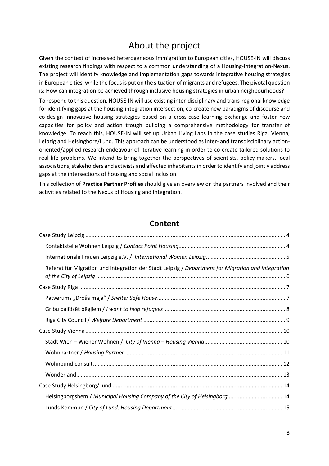#### About the project

Given the context of increased heterogeneous immigration to European cities, HOUSE-IN will discuss existing research findings with respect to a common understanding of a Housing-Integration-Nexus. The project will identify knowledge and implementation gaps towards integrative housing strategies in European cities, while the focus is put on the situation of migrants and refugees. The pivotal question is: How can integration be achieved through inclusive housing strategies in urban neighbourhoods?

To respond to this question, HOUSE-IN will use existing inter-disciplinary and trans-regional knowledge for identifying gaps at the housing-integration intersection, co-create new paradigms of discourse and co-design innovative housing strategies based on a cross-case learning exchange and foster new capacities for policy and action trough building a comprehensive methodology for transfer of knowledge. To reach this, HOUSE-IN will set up Urban Living Labs in the case studies Riga, Vienna, Leipzig and Helsingborg/Lund. This approach can be understood as inter- and transdisciplinary actionoriented/applied research endeavour of iterative learning in order to co-create tailored solutions to real life problems. We intend to bring together the perspectives of scientists, policy-makers, local associations, stakeholders and activists and affected inhabitants in order to identify and jointly address gaps at the intersections of housing and social inclusion.

This collection of **Practice Partner Profiles** should give an overview on the partners involved and their activities related to the Nexus of Housing and Integration.

#### **Content**

| Referat für Migration und Integration der Stadt Leipzig / Department for Migration and Integration |  |
|----------------------------------------------------------------------------------------------------|--|
|                                                                                                    |  |
|                                                                                                    |  |
|                                                                                                    |  |
|                                                                                                    |  |
|                                                                                                    |  |
|                                                                                                    |  |
|                                                                                                    |  |
|                                                                                                    |  |
|                                                                                                    |  |
|                                                                                                    |  |
| Helsingborgshem / Municipal Housing Company of the City of Helsingborg  14                         |  |
|                                                                                                    |  |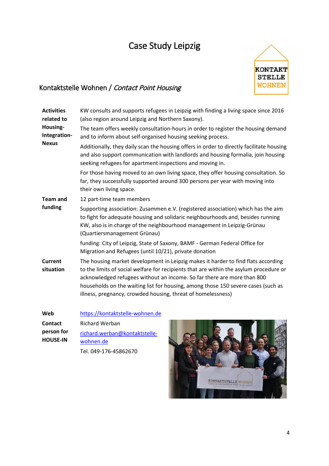### <span id="page-3-0"></span>Case Study Leipzig



#### <span id="page-3-1"></span>Kontaktstelle Wohnen / Contact Point Housing

| <b>Activities</b><br>related to | KW consults and supports refugees in Leipzig with finding a living space since 2016<br>(also region around Leipzig and Northern Saxony).                                                                                                                                                                                                                                                                    |
|---------------------------------|-------------------------------------------------------------------------------------------------------------------------------------------------------------------------------------------------------------------------------------------------------------------------------------------------------------------------------------------------------------------------------------------------------------|
| Housing-<br>Integration-        | The team offers weekly consultation-hours in order to register the housing demand<br>and to inform about self-organised housing seeking process.                                                                                                                                                                                                                                                            |
| <b>Nexus</b>                    | Additionally, they daily scan the housing offers in order to directly facilitate housing<br>and also support communication with landlords and housing formalia, join housing<br>seeking refugees for apartment inspections and moving in.                                                                                                                                                                   |
|                                 | For those having moved to an own living space, they offer housing consultation. So<br>far, they successfully supported around 300 persons per year with moving into<br>their own living space.                                                                                                                                                                                                              |
| <b>Team and</b>                 | 12 part-time team members                                                                                                                                                                                                                                                                                                                                                                                   |
| funding                         | Supporting association: Zusammen e.V. (registered association) which has the aim<br>to fight for adequate housing and solidaric neighbourhoods and, besides running<br>KW, also is in charge of the neighbourhood management in Leipzig-Grünau<br>(Quartiersmanagement Grünau)                                                                                                                              |
|                                 | funding: City of Leipzig, State of Saxony, BAMF - German Federal Office for<br>Migration and Refugees (until 10/21), private donation                                                                                                                                                                                                                                                                       |
| <b>Current</b><br>situation     | The housing market development in Leipzig makes it harder to find flats according<br>to the limits of social welfare for recipients that are within the asylum procedure or<br>acknowledged refugees without an income. So far there are more than 800<br>households on the waiting list for housing, among those 150 severe cases (such as<br>illness, pregnancy, crowded housing, threat of homelessness) |
| Web                             | https://kontaktstelle-wohnen.de                                                                                                                                                                                                                                                                                                                                                                             |
| <b>Contact</b>                  | Richard Werban                                                                                                                                                                                                                                                                                                                                                                                              |
| person for<br><b>HOUSE-IN</b>   | richard.werban@kontaktstelle-<br>wohnen de                                                                                                                                                                                                                                                                                                                                                                  |

[wohnen.de](mailto:richard.werban@kontaktstelle-wohnen.de)

Tel. 049-176-45862670

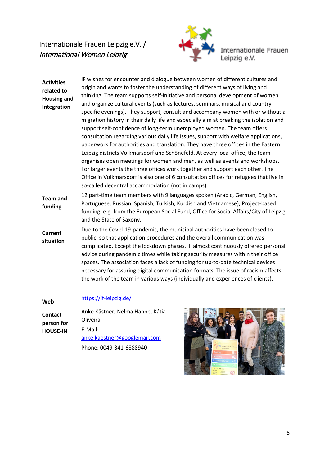#### <span id="page-4-0"></span>Internationale Frauen Leipzig e.V. / International Women Leipzig



Internationale Frauen<br>Leipzig e.V.

| <b>Activities</b><br>related to<br><b>Housing and</b><br>Integration | IF wishes for encounter and dialogue between women of different cultures and<br>origin and wants to foster the understanding of different ways of living and<br>thinking. The team supports self-initiative and personal development of women<br>and organize cultural events (such as lectures, seminars, musical and country-<br>specific evenings). They support, consult and accompany women with or without a<br>migration history in their daily life and especially aim at breaking the isolation and<br>support self-confidence of long-term unemployed women. The team offers<br>consultation regarding various daily life issues, support with welfare applications,<br>paperwork for authorities and translation. They have three offices in the Eastern<br>Leipzig districts Volkmarsdorf and Schönefeld. At every local office, the team<br>organises open meetings for women and men, as well as events and workshops.<br>For larger events the three offices work together and support each other. The<br>Office in Volkmarsdorf is also one of 6 consultation offices for refugees that live in<br>so-called decentral accommodation (not in camps). |
|----------------------------------------------------------------------|----------------------------------------------------------------------------------------------------------------------------------------------------------------------------------------------------------------------------------------------------------------------------------------------------------------------------------------------------------------------------------------------------------------------------------------------------------------------------------------------------------------------------------------------------------------------------------------------------------------------------------------------------------------------------------------------------------------------------------------------------------------------------------------------------------------------------------------------------------------------------------------------------------------------------------------------------------------------------------------------------------------------------------------------------------------------------------------------------------------------------------------------------------------------|
| <b>Team and</b><br>funding                                           | 12 part-time team members with 9 languages spoken (Arabic, German, English,<br>Portuguese, Russian, Spanish, Turkish, Kurdish and Vietnamese); Project-based<br>funding, e.g. from the European Social Fund, Office for Social Affairs/City of Leipzig,<br>and the State of Saxony.                                                                                                                                                                                                                                                                                                                                                                                                                                                                                                                                                                                                                                                                                                                                                                                                                                                                                  |
| <b>Current</b><br>situation                                          | Due to the Covid-19-pandemic, the municipal authorities have been closed to<br>public, so that application procedures and the overall communication was<br>complicated. Except the lockdown phases, IF almost continuously offered personal<br>advice during pandemic times while taking security measures within their office<br>spaces. The association faces a lack of funding for up-to-date technical devices<br>necessary for assuring digital communication formats. The issue of racism affects<br>the work of the team in various ways (individually and experiences of clients).                                                                                                                                                                                                                                                                                                                                                                                                                                                                                                                                                                           |

#### **Web** <https://if-leipzig.de/>

| <b>Contact</b><br>person for<br><b>HOUSE-IN</b> | Anke Kästner, Nelma Hahne, Kátia<br>Oliveira |
|-------------------------------------------------|----------------------------------------------|
|                                                 | E-Mail:<br>anke.kaestner@googlemail.com      |
|                                                 | Phone: 0049-341-6888940                      |

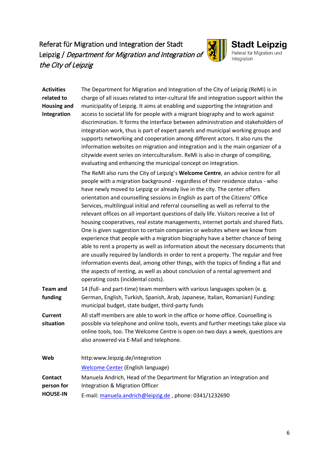#### <span id="page-5-0"></span>Referat für Migration und Integration der Stadt Leipzig / Department for Migration and Integration of the City of Leipzig



#### **Stadt Leipzig**<br>Referat für Migration und Integration

| <b>Activities</b><br>related to<br><b>Housing and</b><br>Integration | The Department for Migration and Integration of the City of Leipzig (ReMI) is in<br>charge of all issues related to inter-cultural life and integration support within the<br>municipality of Leipzig. It aims at enabling and supporting the integration and<br>access to societal life for people with a migrant biography and to work against<br>discrimination. It forms the interface between administration and stakeholders of<br>integration work, thus is part of expert panels and municipal working groups and<br>supports networking and cooperation among different actors. It also runs the<br>information websites on migration and integration and is the main organizer of a<br>citywide event series on interculturalism. ReMi is also in charge of compiling,<br>evaluating and enhancing the municipal concept on integration.                                                                                                                                                                                                                                                                                                                    |
|----------------------------------------------------------------------|-----------------------------------------------------------------------------------------------------------------------------------------------------------------------------------------------------------------------------------------------------------------------------------------------------------------------------------------------------------------------------------------------------------------------------------------------------------------------------------------------------------------------------------------------------------------------------------------------------------------------------------------------------------------------------------------------------------------------------------------------------------------------------------------------------------------------------------------------------------------------------------------------------------------------------------------------------------------------------------------------------------------------------------------------------------------------------------------------------------------------------------------------------------------------|
|                                                                      | The ReMI also runs the City of Leipzig's Welcome Centre, an advice centre for all<br>people with a migration background - regardless of their residence status - who<br>have newly moved to Leipzig or already live in the city. The center offers<br>orientation and counselling sessions in English as part of the Citizens' Office<br>Services, multilingual initial and referral counselling as well as referral to the<br>relevant offices on all important questions of daily life. Visitors receive a list of<br>housing cooperatives, real estate managements, internet portals and shared flats.<br>One is given suggestion to certain companies or websites where we know from<br>experience that people with a migration biography have a better chance of being<br>able to rent a property as well as information about the necessary documents that<br>are usually required by landlords in order to rent a property. The regular and free<br>information events deal, among other things, with the topics of finding a flat and<br>the aspects of renting, as well as about conclusion of a rental agreement and<br>operating costs (incidental costs). |
| <b>Team and</b><br>funding                                           | 14 (full- and part-time) team members with various languages spoken (e. g.<br>German, English, Turkish, Spanish, Arab, Japanese, Italian, Romanian) Funding:<br>municipal budget, state budget, third-party funds                                                                                                                                                                                                                                                                                                                                                                                                                                                                                                                                                                                                                                                                                                                                                                                                                                                                                                                                                     |
| <b>Current</b><br>situation                                          | All staff members are able to work in the office or home office. Counselling is<br>possible via telephone and online tools, events and further meetings take place via<br>online tools, too. The Welcome Centre is open on two days a week, questions are<br>also answered via E-Mail and telephone.                                                                                                                                                                                                                                                                                                                                                                                                                                                                                                                                                                                                                                                                                                                                                                                                                                                                  |
| Web                                                                  | http:www.leipzig.de/integration                                                                                                                                                                                                                                                                                                                                                                                                                                                                                                                                                                                                                                                                                                                                                                                                                                                                                                                                                                                                                                                                                                                                       |
|                                                                      | <b>Welcome Center (English language)</b>                                                                                                                                                                                                                                                                                                                                                                                                                                                                                                                                                                                                                                                                                                                                                                                                                                                                                                                                                                                                                                                                                                                              |
| <b>Contact</b><br>person for<br><b>HOUSE-IN</b>                      | Manuela Andrich, Head of the Department for Migration an Integration and<br>Integration & Migration Officer                                                                                                                                                                                                                                                                                                                                                                                                                                                                                                                                                                                                                                                                                                                                                                                                                                                                                                                                                                                                                                                           |
|                                                                      | E-mail: manuela.andrich@leipzig.de, phone: 0341/1232690                                                                                                                                                                                                                                                                                                                                                                                                                                                                                                                                                                                                                                                                                                                                                                                                                                                                                                                                                                                                                                                                                                               |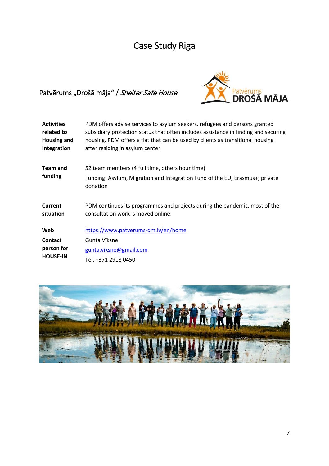## Case Study Riga

#### <span id="page-6-1"></span><span id="page-6-0"></span>Patvērums "Drošā māja" / Shelter Safe House



| <b>Activities</b><br>related to<br><b>Housing and</b><br>Integration | PDM offers advise services to asylum seekers, refugees and persons granted<br>subsidiary protection status that often includes assistance in finding and securing<br>housing. PDM offers a flat that can be used by clients as transitional housing<br>after residing in asylum center. |
|----------------------------------------------------------------------|-----------------------------------------------------------------------------------------------------------------------------------------------------------------------------------------------------------------------------------------------------------------------------------------|
| <b>Team and</b>                                                      | 52 team members (4 full time, others hour time)                                                                                                                                                                                                                                         |
| funding                                                              | Funding: Asylum, Migration and Integration Fund of the EU; Erasmus+; private<br>donation                                                                                                                                                                                                |
| Current<br>situation                                                 | PDM continues its programmes and projects during the pandemic, most of the<br>consultation work is moved online.                                                                                                                                                                        |
| Web                                                                  | https://www.patverums-dm.lv/en/home                                                                                                                                                                                                                                                     |
| Contact                                                              | Gunta Vīksne                                                                                                                                                                                                                                                                            |
| person for                                                           | gunta.viksne@gmail.com                                                                                                                                                                                                                                                                  |
| <b>HOUSE-IN</b>                                                      | Tel. +371 2918 0450                                                                                                                                                                                                                                                                     |

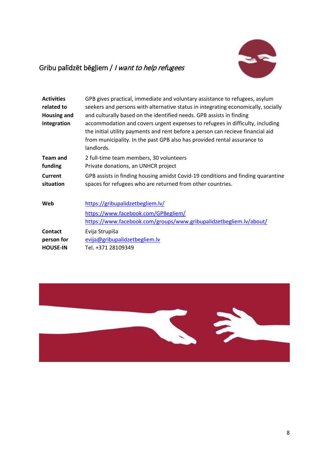

#### <span id="page-7-0"></span>Gribu palīdzēt bēgļiem / I want to help refugees

| <b>Activities</b><br>related to<br><b>Housing and</b><br>Integration | GPB gives practical, immediate and voluntary assistance to refugees, asylum<br>seekers and persons with alternative status in integrating economically, socially<br>and culturally based on the identified needs. GPB assists in finding<br>accommodation and covers urgent expenses to refugees in difficulty, including<br>the initial utility payments and rent before a person can recieve financial aid<br>from municipality. In the past GPB also has provided rental assurance to<br>landlords. |
|----------------------------------------------------------------------|--------------------------------------------------------------------------------------------------------------------------------------------------------------------------------------------------------------------------------------------------------------------------------------------------------------------------------------------------------------------------------------------------------------------------------------------------------------------------------------------------------|
| <b>Team and</b>                                                      | 2 full-time team members, 30 volunteers                                                                                                                                                                                                                                                                                                                                                                                                                                                                |
| funding                                                              | Private donations, an UNHCR project                                                                                                                                                                                                                                                                                                                                                                                                                                                                    |
| Current                                                              | GPB assists in finding housing amidst Covid-19 conditions and finding quarantine                                                                                                                                                                                                                                                                                                                                                                                                                       |
| situation                                                            | spaces for refugees who are returned from other countries.                                                                                                                                                                                                                                                                                                                                                                                                                                             |
| Web                                                                  | https://gribupalidzetbegliem.lv/<br>https://www.facebook.com/GPBegliem/<br>https://www.facebook.com/groups/www.gribupalidzetbegliem.lv/about/                                                                                                                                                                                                                                                                                                                                                          |
| Contact                                                              | Evija Strupiša                                                                                                                                                                                                                                                                                                                                                                                                                                                                                         |
| person for                                                           | evija@gribupalidzetbegliem.lv                                                                                                                                                                                                                                                                                                                                                                                                                                                                          |
| <b>HOUSE-IN</b>                                                      | Tel. +371 28109349                                                                                                                                                                                                                                                                                                                                                                                                                                                                                     |

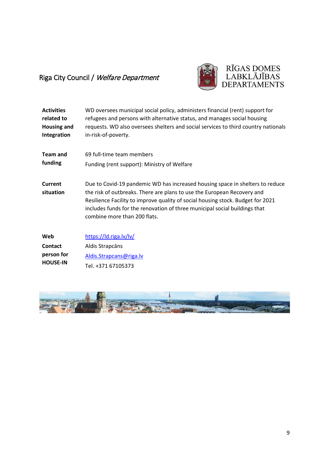#### <span id="page-8-0"></span>Riga City Council / Welfare Department



| <b>Activities</b>    | WD oversees municipal social policy, administers financial (rent) support for                                                                                                                                                                                                                                                                             |
|----------------------|-----------------------------------------------------------------------------------------------------------------------------------------------------------------------------------------------------------------------------------------------------------------------------------------------------------------------------------------------------------|
| related to           | refugees and persons with alternative status, and manages social housing                                                                                                                                                                                                                                                                                  |
| <b>Housing and</b>   | requests. WD also oversees shelters and social services to third country nationals                                                                                                                                                                                                                                                                        |
| Integration          | in-risk-of-poverty.                                                                                                                                                                                                                                                                                                                                       |
| <b>Team and</b>      | 69 full-time team members                                                                                                                                                                                                                                                                                                                                 |
| funding              | Funding (rent support): Ministry of Welfare                                                                                                                                                                                                                                                                                                               |
| Current<br>situation | Due to Covid-19 pandemic WD has increased housing space in shelters to reduce<br>the risk of outbreaks. There are plans to use the European Recovery and<br>Resilience Facility to improve quality of social housing stock. Budget for 2021<br>includes funds for the renovation of three municipal social buildings that<br>combine more than 200 flats. |
| Web                  | https://ld.riga.lv/lv/                                                                                                                                                                                                                                                                                                                                    |
| Contact              | Aldis Strapcāns                                                                                                                                                                                                                                                                                                                                           |
| person for           | Aldis.Strapcans@riga.lv                                                                                                                                                                                                                                                                                                                                   |
| <b>HOUSE-IN</b>      | Tel. +371 67105373                                                                                                                                                                                                                                                                                                                                        |

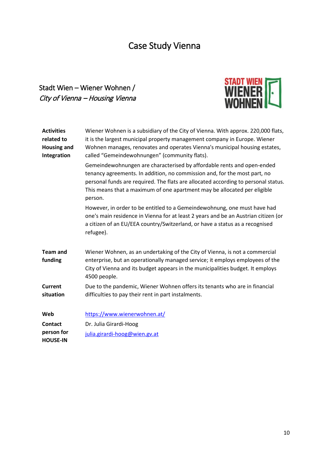### Case Study Vienna

#### <span id="page-9-1"></span><span id="page-9-0"></span>Stadt Wien – Wiener Wohnen / City of Vienna – Housing Vienna



| <b>Activities</b><br>related to<br><b>Housing and</b><br>Integration | Wiener Wohnen is a subsidiary of the City of Vienna. With approx. 220,000 flats,<br>it is the largest municipal property management company in Europe. Wiener<br>Wohnen manages, renovates and operates Vienna's municipal housing estates,<br>called "Gemeindewohnungen" (community flats).                                     |
|----------------------------------------------------------------------|----------------------------------------------------------------------------------------------------------------------------------------------------------------------------------------------------------------------------------------------------------------------------------------------------------------------------------|
|                                                                      | Gemeindewohnungen are characterised by affordable rents and open-ended<br>tenancy agreements. In addition, no commission and, for the most part, no<br>personal funds are required. The flats are allocated according to personal status.<br>This means that a maximum of one apartment may be allocated per eligible<br>person. |
|                                                                      | However, in order to be entitled to a Gemeindewohnung, one must have had<br>one's main residence in Vienna for at least 2 years and be an Austrian citizen (or<br>a citizen of an EU/EEA country/Switzerland, or have a status as a recognised<br>refugee).                                                                      |
| <b>Team and</b><br>funding                                           | Wiener Wohnen, as an undertaking of the City of Vienna, is not a commercial<br>enterprise, but an operationally managed service; it employs employees of the<br>City of Vienna and its budget appears in the municipalities budget. It employs<br>4500 people.                                                                   |
| <b>Current</b><br>situation                                          | Due to the pandemic, Wiener Wohnen offers its tenants who are in financial<br>difficulties to pay their rent in part instalments.                                                                                                                                                                                                |
| Web                                                                  | https://www.wienerwohnen.at/                                                                                                                                                                                                                                                                                                     |
| Contact                                                              | Dr. Julia Girardi-Hoog                                                                                                                                                                                                                                                                                                           |
| person for<br><b>HOUSE-IN</b>                                        | julia.girardi-hoog@wien.gv.at                                                                                                                                                                                                                                                                                                    |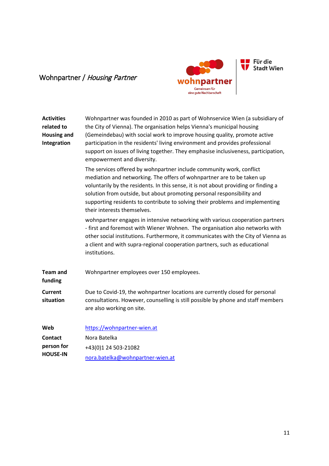#### <span id="page-10-0"></span>Wohnpartner / Housing Partner



Für die<br>
Stadt Wien

| <b>Activities</b><br>related to<br><b>Housing and</b><br>Integration | Wohnpartner was founded in 2010 as part of Wohnservice Wien (a subsidiary of<br>the City of Vienna). The organisation helps Vienna's municipal housing<br>(Gemeindebau) with social work to improve housing quality, promote active<br>participation in the residents' living environment and provides professional<br>support on issues of living together. They emphasise inclusiveness, participation,<br>empowerment and diversity. |
|----------------------------------------------------------------------|-----------------------------------------------------------------------------------------------------------------------------------------------------------------------------------------------------------------------------------------------------------------------------------------------------------------------------------------------------------------------------------------------------------------------------------------|
|                                                                      | The services offered by wohnpartner include community work, conflict<br>mediation and networking. The offers of wohnpartner are to be taken up<br>voluntarily by the residents. In this sense, it is not about providing or finding a<br>solution from outside, but about promoting personal responsibility and<br>supporting residents to contribute to solving their problems and implementing<br>their interests themselves.         |
|                                                                      | wohnpartner engages in intensive networking with various cooperation partners<br>- first and foremost with Wiener Wohnen. The organisation also networks with<br>other social institutions. Furthermore, it communicates with the City of Vienna as<br>a client and with supra-regional cooperation partners, such as educational<br>institutions.                                                                                      |
| <b>Team and</b><br>funding                                           | Wohnpartner employees over 150 employees.                                                                                                                                                                                                                                                                                                                                                                                               |
| Current<br>situation                                                 | Due to Covid-19, the wohnpartner locations are currently closed for personal<br>consultations. However, counselling is still possible by phone and staff members<br>are also working on site.                                                                                                                                                                                                                                           |
| Web<br><b>Contact</b><br>person for<br><b>HOUSE-IN</b>               | https://wohnpartner-wien.at<br>Nora Batelka<br>+43(0)1 24 503-21082<br>nora.batelka@wohnpartner-wien.at                                                                                                                                                                                                                                                                                                                                 |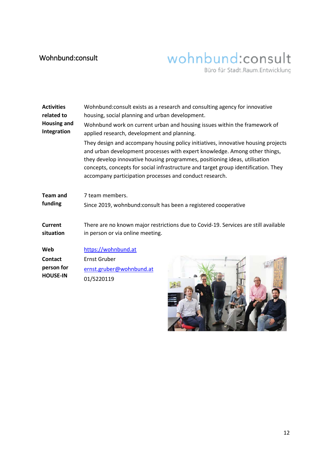#### <span id="page-11-0"></span>Wohnbund:consult

# wohnbund:consult

Büro für Stadt.Raum.Entwicklung

| <b>Activities</b>  | Wohnbund: consult exists as a research and consulting agency for innovative                                                                                                                                                                                                                                                                                                                    |
|--------------------|------------------------------------------------------------------------------------------------------------------------------------------------------------------------------------------------------------------------------------------------------------------------------------------------------------------------------------------------------------------------------------------------|
| related to         | housing, social planning and urban development.                                                                                                                                                                                                                                                                                                                                                |
| <b>Housing and</b> | Wohnbund work on current urban and housing issues within the framework of                                                                                                                                                                                                                                                                                                                      |
| Integration        | applied research, development and planning.                                                                                                                                                                                                                                                                                                                                                    |
|                    | They design and accompany housing policy initiatives, innovative housing projects<br>and urban development processes with expert knowledge. Among other things,<br>they develop innovative housing programmes, positioning ideas, utilisation<br>concepts, concepts for social infrastructure and target group identification. They<br>accompany participation processes and conduct research. |
| <b>Team and</b>    | 7 team members.                                                                                                                                                                                                                                                                                                                                                                                |
| funding            | Since 2019, wohnbund: consult has been a registered cooperative                                                                                                                                                                                                                                                                                                                                |
| Current            | There are no known major restrictions due to Covid-19. Services are still available                                                                                                                                                                                                                                                                                                            |
| situation          | in person or via online meeting.                                                                                                                                                                                                                                                                                                                                                               |
| Web                | https://wohnbund.at                                                                                                                                                                                                                                                                                                                                                                            |
| <b>Contact</b>     | <b>Ernst Gruber</b>                                                                                                                                                                                                                                                                                                                                                                            |
| person for         | ernst.gruber@wohnbund.at                                                                                                                                                                                                                                                                                                                                                                       |
| <b>HOUSE-IN</b>    | 01/5220119                                                                                                                                                                                                                                                                                                                                                                                     |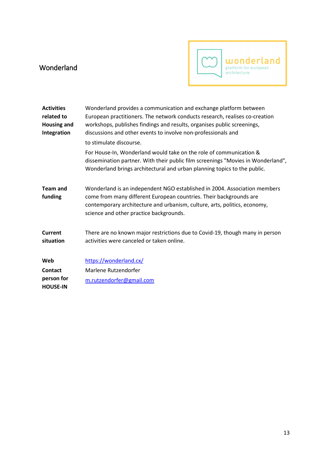#### <span id="page-12-0"></span>Wonderland



| <b>Activities</b><br>related to<br><b>Housing and</b><br>Integration | Wonderland provides a communication and exchange platform between<br>European practitioners. The network conducts research, realises co-creation<br>workshops, publishes findings and results, organises public screenings,<br>discussions and other events to involve non-professionals and<br>to stimulate discourse.<br>For House-In, Wonderland would take on the role of communication &<br>dissemination partner. With their public film screenings "Movies in Wonderland", |
|----------------------------------------------------------------------|-----------------------------------------------------------------------------------------------------------------------------------------------------------------------------------------------------------------------------------------------------------------------------------------------------------------------------------------------------------------------------------------------------------------------------------------------------------------------------------|
|                                                                      | Wonderland brings architectural and urban planning topics to the public.                                                                                                                                                                                                                                                                                                                                                                                                          |
| <b>Team and</b><br>funding                                           | Wonderland is an independent NGO established in 2004. Association members<br>come from many different European countries. Their backgrounds are<br>contemporary architecture and urbanism, culture, arts, politics, economy,<br>science and other practice backgrounds.                                                                                                                                                                                                           |
| Current<br>situation                                                 | There are no known major restrictions due to Covid-19, though many in person<br>activities were canceled or taken online.                                                                                                                                                                                                                                                                                                                                                         |
| Web                                                                  | https://wonderland.cx/                                                                                                                                                                                                                                                                                                                                                                                                                                                            |
| Contact<br>person for<br><b>HOUSE-IN</b>                             | Marlene Rutzendorfer<br>m.rutzendorfer@gmail.com                                                                                                                                                                                                                                                                                                                                                                                                                                  |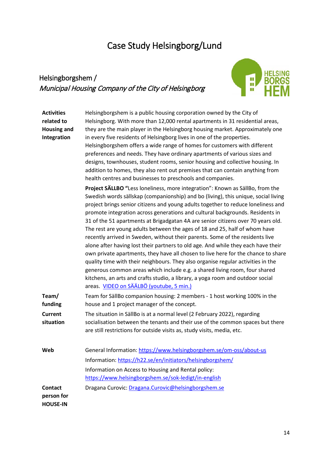## <span id="page-13-0"></span>Case Study Helsingborg/Lund

#### <span id="page-13-1"></span>Helsingborgshem / Municipal Housing Company of the City of Helsingborg



| <b>Activities</b><br>related to<br><b>Housing and</b><br>Integration | Helsingborgshem is a public housing corporation owned by the City of<br>Helsingborg. With more than 12,000 rental apartments in 31 residential areas,<br>they are the main player in the Helsingborg housing market. Approximately one<br>in every five residents of Helsingborg lives in one of the properties.<br>Helsingborgshem offers a wide range of homes for customers with different<br>preferences and needs. They have ordinary apartments of various sizes and<br>designs, townhouses, student rooms, senior housing and collective housing. In<br>addition to homes, they also rent out premises that can contain anything from<br>health centres and businesses to preschools and companies.                                                                                                                                                                                                                                                                                                                                                             |
|----------------------------------------------------------------------|------------------------------------------------------------------------------------------------------------------------------------------------------------------------------------------------------------------------------------------------------------------------------------------------------------------------------------------------------------------------------------------------------------------------------------------------------------------------------------------------------------------------------------------------------------------------------------------------------------------------------------------------------------------------------------------------------------------------------------------------------------------------------------------------------------------------------------------------------------------------------------------------------------------------------------------------------------------------------------------------------------------------------------------------------------------------|
|                                                                      | Project SÄLLBO "Less loneliness, more integration": Known as SällBo, from the<br>Swedish words sällskap (companionship) and bo (living), this unique, social living<br>project brings senior citizens and young adults together to reduce loneliness and<br>promote integration across generations and cultural backgrounds. Residents in<br>31 of the 51 apartments at Brigadgatan 4A are senior citizens over 70 years old.<br>The rest are young adults between the ages of 18 and 25, half of whom have<br>recently arrived in Sweden, without their parents. Some of the residents live<br>alone after having lost their partners to old age. And while they each have their<br>own private apartments, they have all chosen to live here for the chance to share<br>quality time with their neighbours. They also organise regular activities in the<br>generous common areas which include e.g. a shared living room, four shared<br>kitchens, an arts and crafts studio, a library, a yoga room and outdoor social<br>areas. VIDEO on SÄÄLBÖ (youtube, 5 min.) |
| Team/<br>funding                                                     | Team for SällBo companion housing: 2 members - 1 host working 100% in the<br>house and 1 project manager of the concept.                                                                                                                                                                                                                                                                                                                                                                                                                                                                                                                                                                                                                                                                                                                                                                                                                                                                                                                                               |
| <b>Current</b><br>situation                                          | The situation in SällBo is at a normal level (2 February 2022), regarding<br>socialisation between the tenants and their use of the common spaces but there<br>are still restrictions for outside visits as, study visits, media, etc.                                                                                                                                                                                                                                                                                                                                                                                                                                                                                                                                                                                                                                                                                                                                                                                                                                 |
| Web                                                                  | General Information: https://www.helsingborgshem.se/om-oss/about-us<br>Information: https://h22.se/en/initiators/helsingborgshem/<br>Information on Access to Housing and Rental policy:<br>https://www.helsingborgshem.se/sok-ledigt/in-english                                                                                                                                                                                                                                                                                                                                                                                                                                                                                                                                                                                                                                                                                                                                                                                                                       |
| Contact<br>person for<br><b>HOUSE-IN</b>                             | Dragana Curovic: Dragana.Curovic@helsingborgshem.se                                                                                                                                                                                                                                                                                                                                                                                                                                                                                                                                                                                                                                                                                                                                                                                                                                                                                                                                                                                                                    |